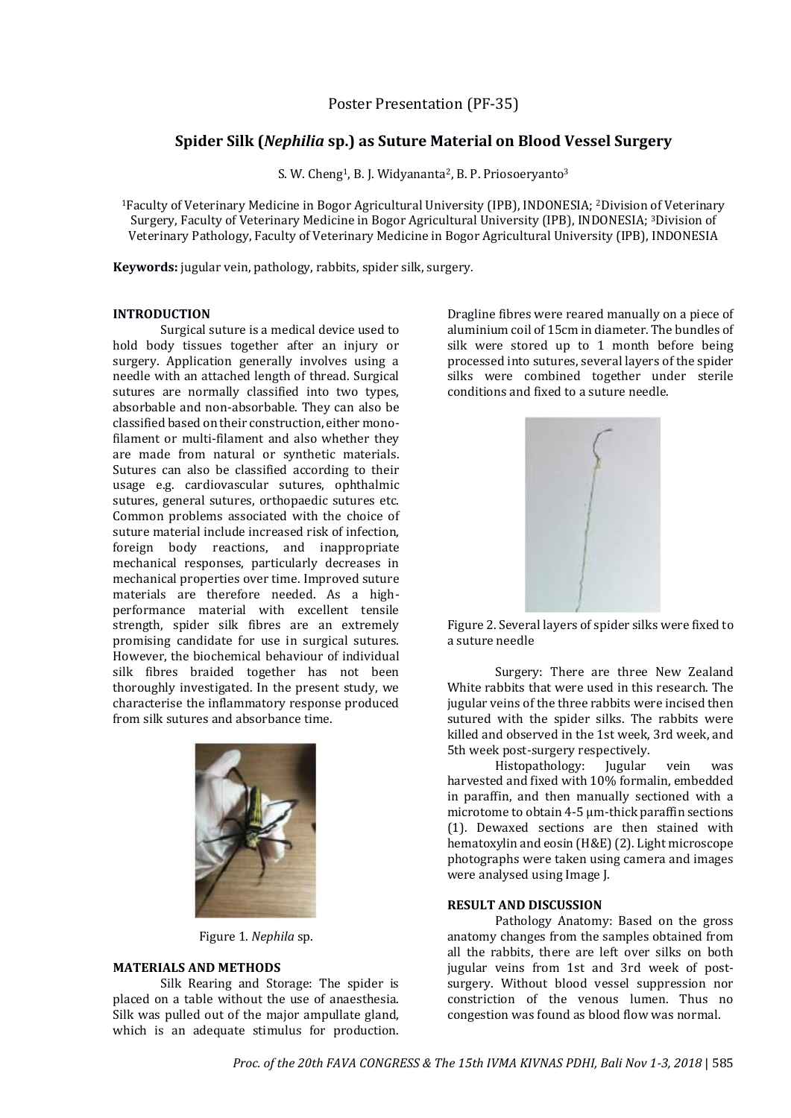# **Spider Silk (***Nephilia* **sp.) as Suture Material on Blood Vessel Surgery**

S. W. Cheng<sup>1</sup>, B. J. Widyananta<sup>2</sup>, B. P. Priosoeryanto<sup>3</sup>

<sup>1</sup>Faculty of Veterinary Medicine in Bogor Agricultural University (IPB), INDONESIA; <sup>2</sup>Division of Veterinary Surgery, Faculty of Veterinary Medicine in Bogor Agricultural University (IPB), INDONESIA; <sup>3</sup>Division of Veterinary Pathology, Faculty of Veterinary Medicine in Bogor Agricultural University (IPB), INDONESIA

**Keywords:** jugular vein, pathology, rabbits, spider silk, surgery.

## **INTRODUCTION**

Surgical suture is a medical device used to hold body tissues together after an injury or surgery. Application generally involves using a needle with an attached length of thread. Surgical sutures are normally classified into two types, absorbable and non-absorbable. They can also be classified based on their construction, either monofilament or multi-filament and also whether they are made from natural or synthetic materials. Sutures can also be classified according to their usage e.g. cardiovascular sutures, ophthalmic sutures, general sutures, orthopaedic sutures etc. Common problems associated with the choice of suture material include increased risk of infection, foreign body reactions, and inappropriate mechanical responses, particularly decreases in mechanical properties over time. Improved suture materials are therefore needed. As a highperformance material with excellent tensile strength, spider silk fibres are an extremely promising candidate for use in surgical sutures. However, the biochemical behaviour of individual silk fibres braided together has not been thoroughly investigated. In the present study, we characterise the inflammatory response produced from silk sutures and absorbance time.



Figure 1. *Nephila* sp.

### **MATERIALS AND METHODS**

Silk Rearing and Storage: The spider is placed on a table without the use of anaesthesia. Silk was pulled out of the major ampullate gland, which is an adequate stimulus for production.

Dragline fibres were reared manually on a piece of aluminium coil of 15cm in diameter. The bundles of silk were stored up to 1 month before being processed into sutures, several layers of the spider silks were combined together under sterile conditions and fixed to a suture needle.



Figure 2. Several layers of spider silks were fixed to a suture needle

Surgery: There are three New Zealand White rabbits that were used in this research. The jugular veins of the three rabbits were incised then sutured with the spider silks. The rabbits were killed and observed in the 1st week, 3rd week, and 5th week post-surgery respectively.

Histopathology: Jugular vein was harvested and fixed with 10% formalin, embedded in paraffin, and then manually sectioned with a microtome to obtain 4-5 μm-thick paraffin sections (1). Dewaxed sections are then stained with hematoxylin and eosin (H&E) (2). Light microscope photographs were taken using camera and images were analysed using Image J.

#### **RESULT AND DISCUSSION**

Pathology Anatomy: Based on the gross anatomy changes from the samples obtained from all the rabbits, there are left over silks on both jugular veins from 1st and 3rd week of postsurgery. Without blood vessel suppression nor constriction of the venous lumen. Thus no congestion was found as blood flow was normal.